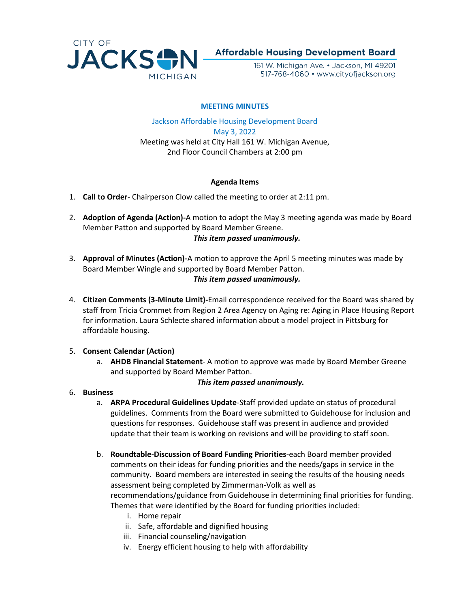

**Affordable Housing Development Board** 

161 W. Michigan Ave. • Jackson, MI 49201 517-768-4060 • www.cityofjackson.org

### **MEETING MINUTES**

Jackson Affordable Housing Development Board May 3, 2022 Meeting was held at City Hall 161 W. Michigan Avenue, 2nd Floor Council Chambers at 2:00 pm

## **Agenda Items**

- 1. **Call to Order** Chairperson Clow called the meeting to order at 2:11 pm.
- 2. **Adoption of Agenda (Action)-**A motion to adopt the May 3 meeting agenda was made by Board Member Patton and supported by Board Member Greene.

#### *This item passed unanimously.*

- 3. **Approval of Minutes (Action)-**A motion to approve the April 5 meeting minutes was made by Board Member Wingle and supported by Board Member Patton. *This item passed unanimously.*
- 4. **Citizen Comments (3-Minute Limit)-**Email correspondence received for the Board was shared by staff from Tricia Crommet from Region 2 Area Agency on Aging re: Aging in Place Housing Report for information. Laura Schlecte shared information about a model project in Pittsburg for affordable housing.

#### 5. **Consent Calendar (Action)**

a. **AHDB Financial Statement**- A motion to approve was made by Board Member Greene and supported by Board Member Patton.

#### *This item passed unanimously.*

- 6. **Business**
	- a. **ARPA Procedural Guidelines Update**-Staff provided update on status of procedural guidelines. Comments from the Board were submitted to Guidehouse for inclusion and questions for responses. Guidehouse staff was present in audience and provided update that their team is working on revisions and will be providing to staff soon.
	- b. **Roundtable-Discussion of Board Funding Priorities**-each Board member provided comments on their ideas for funding priorities and the needs/gaps in service in the community. Board members are interested in seeing the results of the housing needs assessment being completed by Zimmerman-Volk as well as recommendations/guidance from Guidehouse in determining final priorities for funding. Themes that were identified by the Board for funding priorities included:
		- i. Home repair
		- ii. Safe, affordable and dignified housing
		- iii. Financial counseling/navigation
		- iv. Energy efficient housing to help with affordability